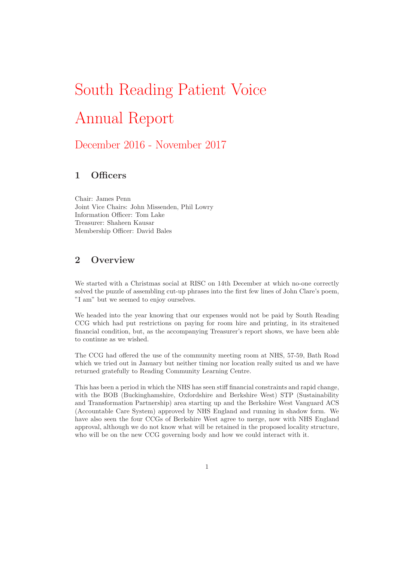# South Reading Patient Voice Annual Report

# December 2016 - November 2017

# 1 Officers

Chair: James Penn Joint Vice Chairs: John Missenden, Phil Lowry Information Officer: Tom Lake Treasurer: Shaheen Kausar Membership Officer: David Bales

# 2 Overview

We started with a Christmas social at RISC on 14th December at which no-one correctly solved the puzzle of assembling cut-up phrases into the first few lines of John Clare's poem, "I am" but we seemed to enjoy ourselves.

We headed into the year knowing that our expenses would not be paid by South Reading CCG which had put restrictions on paying for room hire and printing, in its straitened financial condition, but, as the accompanying Treasurer's report shows, we have been able to continue as we wished.

The CCG had offered the use of the community meeting room at NHS, 57-59, Bath Road which we tried out in January but neither timing nor location really suited us and we have returned gratefully to Reading Community Learning Centre.

This has been a period in which the NHS has seen stiff financial constraints and rapid change, with the BOB (Buckinghamshire, Oxfordshire and Berkshire West) STP (Sustainability and Transformation Partnership) area starting up and the Berkshire West Vanguard ACS (Accountable Care System) approved by NHS England and running in shadow form. We have also seen the four CCGs of Berkshire West agree to merge, now with NHS England approval, although we do not know what will be retained in the proposed locality structure, who will be on the new CCG governing body and how we could interact with it.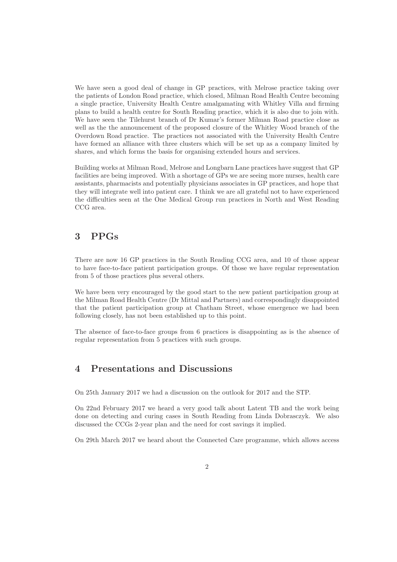We have seen a good deal of change in GP practices, with Melrose practice taking over the patients of London Road practice, which closed, Milman Road Health Centre becoming a single practice, University Health Centre amalgamating with Whitley Villa and firming plans to build a health centre for South Reading practice, which it is also due to join with. We have seen the Tilehurst branch of Dr Kumar's former Milman Road practice close as well as the the announcement of the proposed closure of the Whitley Wood branch of the Overdown Road practice. The practices not associated with the University Health Centre have formed an alliance with three clusters which will be set up as a company limited by shares, and which forms the basis for organising extended hours and services.

Building works at Milman Road, Melrose and Longbarn Lane practices have suggest that GP facilities are being improved. With a shortage of GPs we are seeing more nurses, health care assistants, pharmacists and potentially physicians associates in GP practices, and hope that they will integrate well into patient care. I think we are all grateful not to have experienced the difficulties seen at the One Medical Group run practices in North and West Reading CCG area.

#### 3 PPGs

There are now 16 GP practices in the South Reading CCG area, and 10 of those appear to have face-to-face patient participation groups. Of those we have regular representation from 5 of those practices plus several others.

We have been very encouraged by the good start to the new patient participation group at the Milman Road Health Centre (Dr Mittal and Partners) and correspondingly disappointed that the patient participation group at Chatham Street, whose emergence we had been following closely, has not been established up to this point.

The absence of face-to-face groups from 6 practices is disappointing as is the absence of regular representation from 5 practices with such groups.

#### 4 Presentations and Discussions

On 25th January 2017 we had a discussion on the outlook for 2017 and the STP.

On 22nd February 2017 we heard a very good talk about Latent TB and the work being done on detecting and curing cases in South Reading from Linda Dobrasczyk. We also discussed the CCGs 2-year plan and the need for cost savings it implied.

On 29th March 2017 we heard about the Connected Care programme, which allows access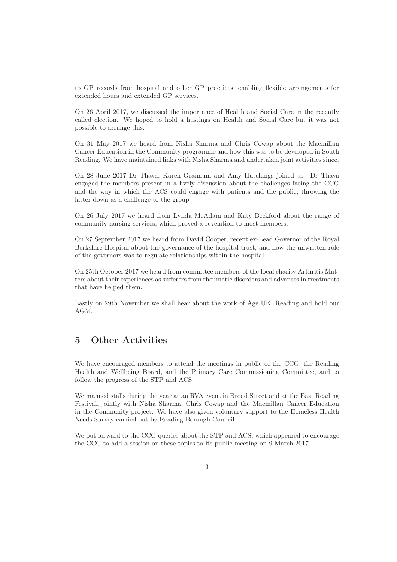to GP records from hospital and other GP practices, enabling flexible arrangements for extended hours and extended GP services.

On 26 April 2017, we discussed the importance of Health and Social Care in the recently called election. We hoped to hold a hustings on Health and Social Care but it was not possible to arrange this.

On 31 May 2017 we heard from Nisha Sharma and Chris Cowap about the Macmillan Cancer Education in the Community programme and how this was to be developed in South Reading. We have maintained links with Nisha Sharma and undertaken joint activities since.

On 28 June 2017 Dr Thava, Karen Grannum and Amy Hutchings joined us. Dr Thava engaged the members present in a lively discussion about the challenges facing the CCG and the way in which the ACS could engage with patients and the public, throwing the latter down as a challenge to the group.

On 26 July 2017 we heard from Lynda McAdam and Katy Beckford about the range of community nursing services, which proved a revelation to most members.

On 27 September 2017 we heard from David Cooper, recent ex-Lead Governor of the Royal Berkshire Hospital about the governance of the hospital trust, and how the unwritten role of the governors was to regulate relationships within the hospital.

On 25th October 2017 we heard from committee members of the local charity Arthritis Matters about their experiences as sufferers from rheumatic disorders and advances in treatments that have helped them.

Lastly on 29th November we shall hear about the work of Age UK, Reading and hold our AGM.

### 5 Other Activities

We have encouraged members to attend the meetings in public of the CCG, the Reading Health and Wellbeing Board, and the Primary Care Commissioning Committee, and to follow the progress of the STP and ACS.

We manned stalls during the year at an RVA event in Broad Street and at the East Reading Festival, jointly with Nisha Sharma, Chris Cowap and the Macmillan Cancer Education in the Community project. We have also given voluntary support to the Homeless Health Needs Survey carried out by Reading Borough Council.

We put forward to the CCG queries about the STP and ACS, which appeared to encourage the CCG to add a session on these topics to its public meeting on 9 March 2017.